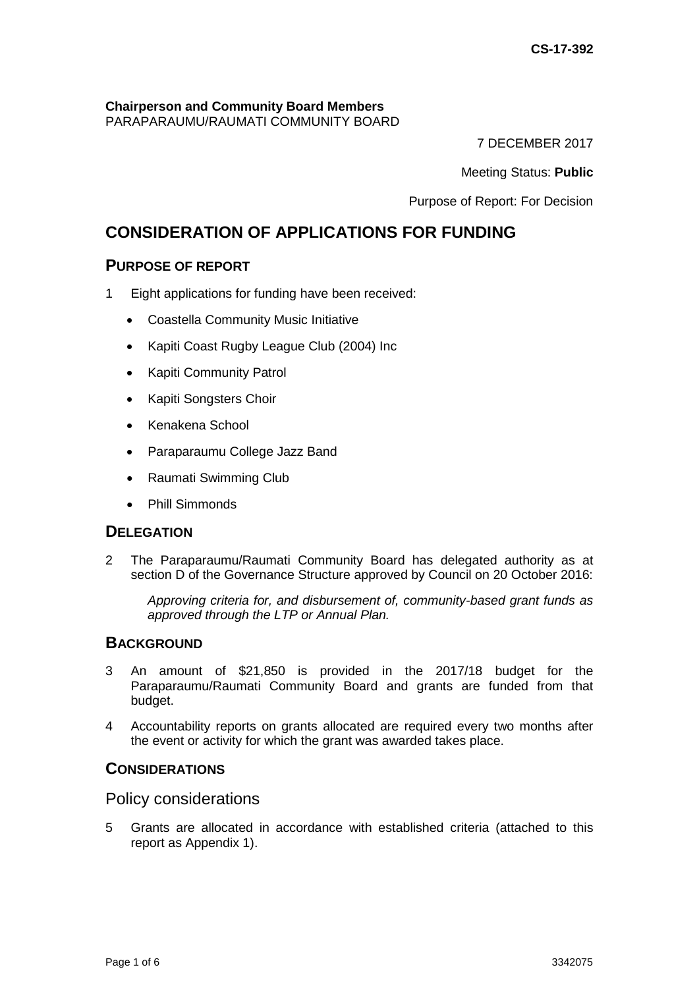# **Chairperson and Community Board Members**

PARAPARAUMU/RAUMATI COMMUNITY BOARD

7 DECEMBER 2017

Meeting Status: **Public**

Purpose of Report: For Decision

# **CONSIDERATION OF APPLICATIONS FOR FUNDING**

# **PURPOSE OF REPORT**

- 1 Eight applications for funding have been received:
	- Coastella Community Music Initiative
	- Kapiti Coast Rugby League Club (2004) Inc
	- Kapiti Community Patrol
	- Kapiti Songsters Choir
	- Kenakena School
	- Paraparaumu College Jazz Band
	- Raumati Swimming Club
	- Phill Simmonds

# **DELEGATION**

2 The Paraparaumu/Raumati Community Board has delegated authority as at section D of the Governance Structure approved by Council on 20 October 2016:

*Approving criteria for, and disbursement of, community-based grant funds as approved through the LTP or Annual Plan.* 

# **BACKGROUND**

- 3 An amount of \$21,850 is provided in the 2017/18 budget for the Paraparaumu/Raumati Community Board and grants are funded from that budget.
- 4 Accountability reports on grants allocated are required every two months after the event or activity for which the grant was awarded takes place.

# **CONSIDERATIONS**

Policy considerations

5 Grants are allocated in accordance with established criteria (attached to this report as Appendix 1).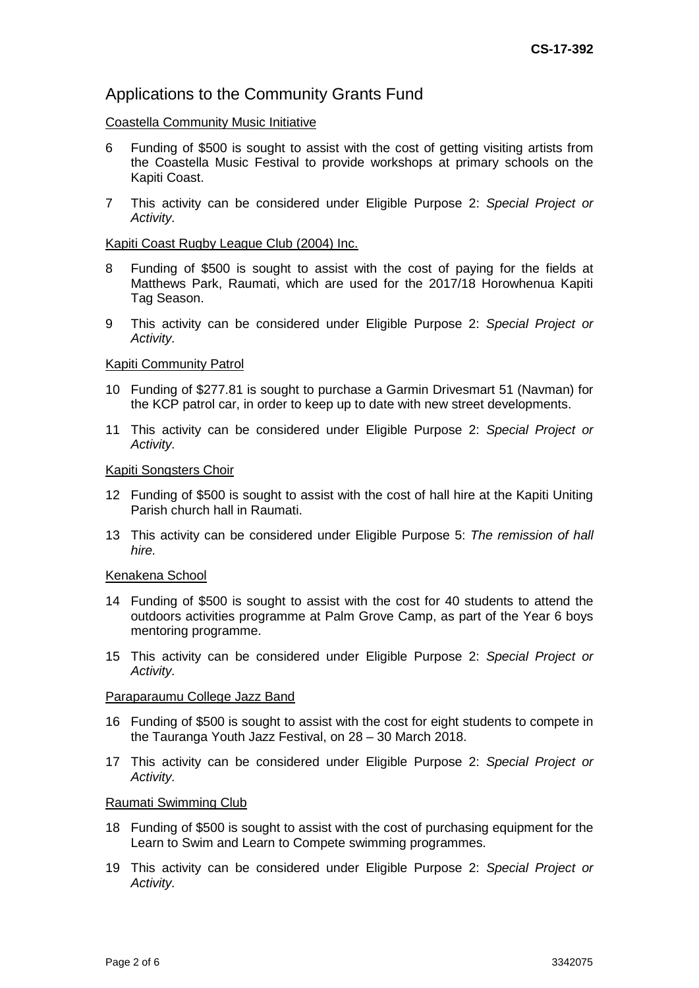### Applications to the Community Grants Fund

#### Coastella Community Music Initiative

- 6 Funding of \$500 is sought to assist with the cost of getting visiting artists from the Coastella Music Festival to provide workshops at primary schools on the Kapiti Coast.
- 7 This activity can be considered under Eligible Purpose 2: *Special Project or Activity.*

#### Kapiti Coast Rugby League Club (2004) Inc.

- 8 Funding of \$500 is sought to assist with the cost of paying for the fields at Matthews Park, Raumati, which are used for the 2017/18 Horowhenua Kapiti Tag Season.
- 9 This activity can be considered under Eligible Purpose 2: *Special Project or Activity.*

#### Kapiti Community Patrol

- 10 Funding of \$277.81 is sought to purchase a Garmin Drivesmart 51 (Navman) for the KCP patrol car, in order to keep up to date with new street developments.
- 11 This activity can be considered under Eligible Purpose 2: *Special Project or Activity.*

#### Kapiti Songsters Choir

- 12 Funding of \$500 is sought to assist with the cost of hall hire at the Kapiti Uniting Parish church hall in Raumati.
- 13 This activity can be considered under Eligible Purpose 5: *The remission of hall hire.*

#### Kenakena School

- 14 Funding of \$500 is sought to assist with the cost for 40 students to attend the outdoors activities programme at Palm Grove Camp, as part of the Year 6 boys mentoring programme.
- 15 This activity can be considered under Eligible Purpose 2: *Special Project or Activity.*

#### Paraparaumu College Jazz Band

- 16 Funding of \$500 is sought to assist with the cost for eight students to compete in the Tauranga Youth Jazz Festival, on 28 – 30 March 2018.
- 17 This activity can be considered under Eligible Purpose 2: *Special Project or Activity.*

#### Raumati Swimming Club

- 18 Funding of \$500 is sought to assist with the cost of purchasing equipment for the Learn to Swim and Learn to Compete swimming programmes.
- 19 This activity can be considered under Eligible Purpose 2: *Special Project or Activity.*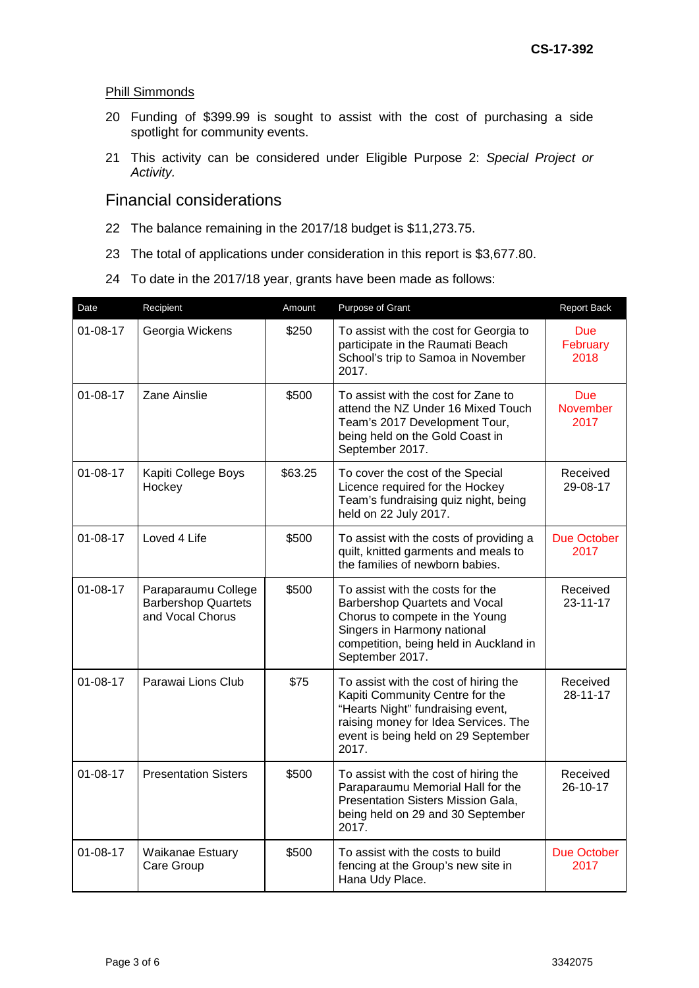#### Phill Simmonds

- 20 Funding of \$399.99 is sought to assist with the cost of purchasing a side spotlight for community events.
- 21 This activity can be considered under Eligible Purpose 2: *Special Project or Activity.*

### Financial considerations

- 22 The balance remaining in the 2017/18 budget is \$11,273.75.
- 23 The total of applications under consideration in this report is \$3,677.80.
- 24 To date in the 2017/18 year, grants have been made as follows:

| Date           | Recipient                                                             | Amount  | Purpose of Grant                                                                                                                                                                                          | <b>Report Back</b>             |
|----------------|-----------------------------------------------------------------------|---------|-----------------------------------------------------------------------------------------------------------------------------------------------------------------------------------------------------------|--------------------------------|
| $01 - 08 - 17$ | Georgia Wickens                                                       | \$250   | To assist with the cost for Georgia to<br>participate in the Raumati Beach<br>School's trip to Samoa in November<br>2017.                                                                                 | <b>Due</b><br>February<br>2018 |
| $01 - 08 - 17$ | Zane Ainslie                                                          | \$500   | To assist with the cost for Zane to<br><b>Due</b><br><b>November</b><br>attend the NZ Under 16 Mixed Touch<br>Team's 2017 Development Tour,<br>2017<br>being held on the Gold Coast in<br>September 2017. |                                |
| $01 - 08 - 17$ | Kapiti College Boys<br>Hockey                                         | \$63.25 | To cover the cost of the Special<br>Licence required for the Hockey<br>Team's fundraising quiz night, being<br>held on 22 July 2017.                                                                      | Received<br>29-08-17           |
| $01 - 08 - 17$ | Loved 4 Life                                                          | \$500   | To assist with the costs of providing a<br>quilt, knitted garments and meals to<br>the families of newborn babies.                                                                                        | <b>Due October</b><br>2017     |
| $01 - 08 - 17$ | Paraparaumu College<br><b>Barbershop Quartets</b><br>and Vocal Chorus | \$500   | To assist with the costs for the<br>Barbershop Quartets and Vocal<br>Chorus to compete in the Young<br>Singers in Harmony national<br>competition, being held in Auckland in<br>September 2017.           | Received<br>$23 - 11 - 17$     |
| $01 - 08 - 17$ | Parawai Lions Club                                                    | \$75    | To assist with the cost of hiring the<br>Kapiti Community Centre for the<br>"Hearts Night" fundraising event,<br>raising money for Idea Services. The<br>event is being held on 29 September<br>2017.     | Received<br>28-11-17           |
| $01 - 08 - 17$ | <b>Presentation Sisters</b>                                           | \$500   | To assist with the cost of hiring the<br>Paraparaumu Memorial Hall for the<br>Presentation Sisters Mission Gala,<br>being held on 29 and 30 September<br>2017.                                            | Received<br>26-10-17           |
| $01 - 08 - 17$ | Waikanae Estuary<br>Care Group                                        | \$500   | To assist with the costs to build<br>fencing at the Group's new site in<br>Hana Udy Place.                                                                                                                | <b>Due October</b><br>2017     |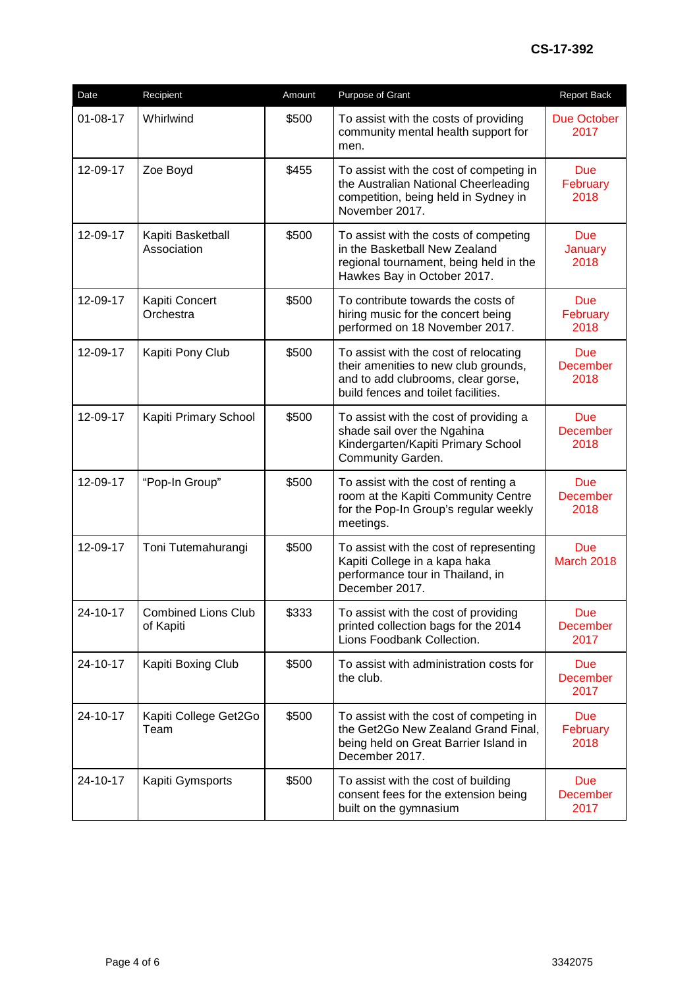| Date           | Recipient                               | Amount | Purpose of Grant                                                                                                                                           | Report Back                           |
|----------------|-----------------------------------------|--------|------------------------------------------------------------------------------------------------------------------------------------------------------------|---------------------------------------|
| $01 - 08 - 17$ | Whirlwind                               | \$500  | To assist with the costs of providing<br>community mental health support for<br>men.                                                                       | <b>Due October</b><br>2017            |
| 12-09-17       | Zoe Boyd                                | \$455  | To assist with the cost of competing in<br>the Australian National Cheerleading<br>competition, being held in Sydney in<br>November 2017.                  | <b>Due</b><br>February<br>2018        |
| 12-09-17       | Kapiti Basketball<br>Association        | \$500  | To assist with the costs of competing<br>in the Basketball New Zealand<br>regional tournament, being held in the<br>Hawkes Bay in October 2017.            | <b>Due</b><br><b>January</b><br>2018  |
| 12-09-17       | Kapiti Concert<br>Orchestra             | \$500  | To contribute towards the costs of<br>hiring music for the concert being<br>performed on 18 November 2017.                                                 | <b>Due</b><br>February<br>2018        |
| 12-09-17       | Kapiti Pony Club                        | \$500  | To assist with the cost of relocating<br>their amenities to new club grounds,<br>and to add clubrooms, clear gorse,<br>build fences and toilet facilities. | <b>Due</b><br><b>December</b><br>2018 |
| 12-09-17       | Kapiti Primary School                   | \$500  | To assist with the cost of providing a<br>shade sail over the Ngahina<br>Kindergarten/Kapiti Primary School<br>Community Garden.                           | <b>Due</b><br><b>December</b><br>2018 |
| 12-09-17       | "Pop-In Group"                          | \$500  | To assist with the cost of renting a<br>room at the Kapiti Community Centre<br>for the Pop-In Group's regular weekly<br>meetings.                          | <b>Due</b><br><b>December</b><br>2018 |
| 12-09-17       | Toni Tutemahurangi                      | \$500  | To assist with the cost of representing<br>Kapiti College in a kapa haka<br>performance tour in Thailand, in<br>December 2017.                             | <b>Due</b><br><b>March 2018</b>       |
| 24-10-17       | <b>Combined Lions Club</b><br>of Kapiti | \$333  | To assist with the cost of providing<br>printed collection bags for the 2014<br>Lions Foodbank Collection.                                                 | <b>Due</b><br><b>December</b><br>2017 |
| 24-10-17       | Kapiti Boxing Club                      | \$500  | To assist with administration costs for<br>the club.                                                                                                       | <b>Due</b><br><b>December</b><br>2017 |
| 24-10-17       | Kapiti College Get2Go<br>Team           | \$500  | To assist with the cost of competing in<br>the Get2Go New Zealand Grand Final,<br>being held on Great Barrier Island in<br>December 2017.                  | <b>Due</b><br>February<br>2018        |
| 24-10-17       | Kapiti Gymsports                        | \$500  | To assist with the cost of building<br>consent fees for the extension being<br>built on the gymnasium                                                      | <b>Due</b><br>December<br>2017        |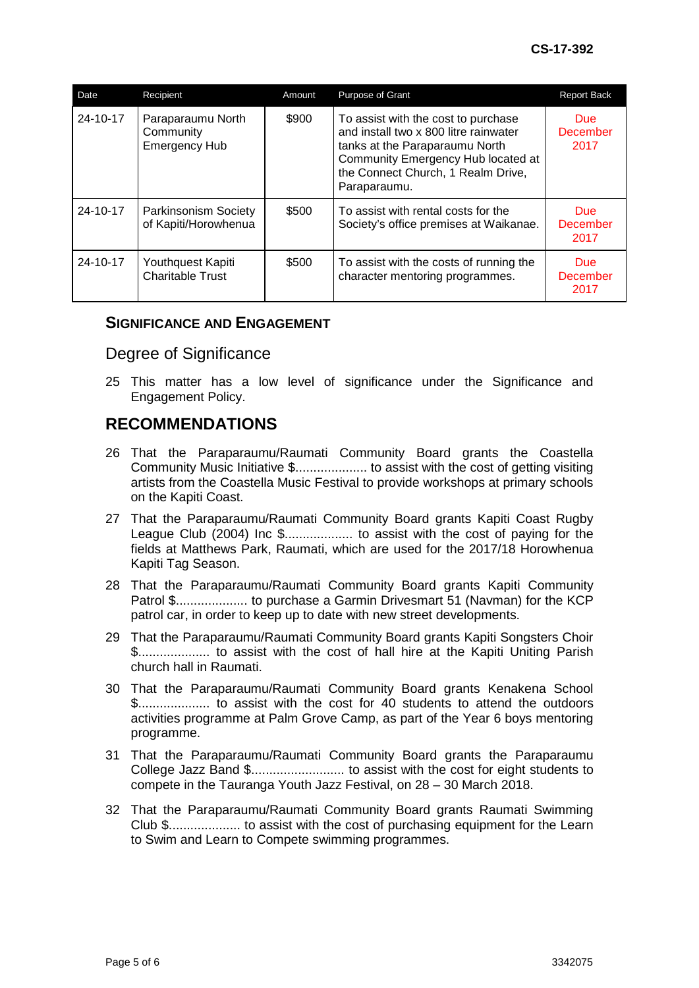| Date     | Recipient                                              | Amount | Purpose of Grant                                                                                                                                                                                           | <b>Report Back</b>              |
|----------|--------------------------------------------------------|--------|------------------------------------------------------------------------------------------------------------------------------------------------------------------------------------------------------------|---------------------------------|
| 24-10-17 | Paraparaumu North<br>Community<br><b>Emergency Hub</b> | \$900  | To assist with the cost to purchase<br>and install two x 800 litre rainwater<br>tanks at the Paraparaumu North<br>Community Emergency Hub located at<br>the Connect Church, 1 Realm Drive,<br>Paraparaumu. | Due:<br><b>December</b><br>2017 |
| 24-10-17 | <b>Parkinsonism Society</b><br>of Kapiti/Horowhenua    | \$500  | To assist with rental costs for the<br>Society's office premises at Waikanae.                                                                                                                              | Due:<br>December<br>2017        |
| 24-10-17 | Youthquest Kapiti<br><b>Charitable Trust</b>           | \$500  | To assist with the costs of running the<br>character mentoring programmes.                                                                                                                                 | <b>Due</b><br>December<br>2017  |

### **SIGNIFICANCE AND ENGAGEMENT**

### Degree of Significance

25 This matter has a low level of significance under the Significance and Engagement Policy.

# **RECOMMENDATIONS**

- 26 That the Paraparaumu/Raumati Community Board grants the Coastella Community Music Initiative \$.................... to assist with the cost of getting visiting artists from the Coastella Music Festival to provide workshops at primary schools on the Kapiti Coast.
- 27 That the Paraparaumu/Raumati Community Board grants Kapiti Coast Rugby League Club (2004) Inc \$................... to assist with the cost of paying for the fields at Matthews Park, Raumati, which are used for the 2017/18 Horowhenua Kapiti Tag Season.
- 28 That the Paraparaumu/Raumati Community Board grants Kapiti Community Patrol \$.................... to purchase a Garmin Drivesmart 51 (Navman) for the KCP patrol car, in order to keep up to date with new street developments.
- 29 That the Paraparaumu/Raumati Community Board grants Kapiti Songsters Choir \$.................... to assist with the cost of hall hire at the Kapiti Uniting Parish church hall in Raumati.
- 30 That the Paraparaumu/Raumati Community Board grants Kenakena School \$.................... to assist with the cost for 40 students to attend the outdoors activities programme at Palm Grove Camp, as part of the Year 6 boys mentoring programme.
- 31 That the Paraparaumu/Raumati Community Board grants the Paraparaumu College Jazz Band \$.......................... to assist with the cost for eight students to compete in the Tauranga Youth Jazz Festival, on 28 – 30 March 2018.
- 32 That the Paraparaumu/Raumati Community Board grants Raumati Swimming Club \$.................... to assist with the cost of purchasing equipment for the Learn to Swim and Learn to Compete swimming programmes.